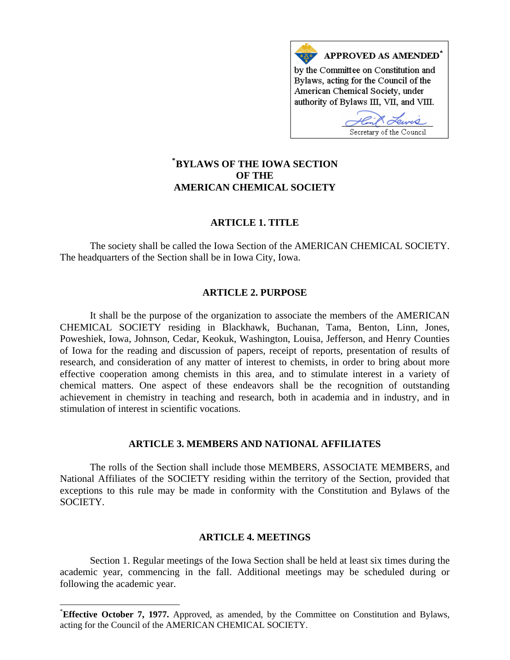

# **[\\*](#page-0-0) BYLAWS OF THE IOWA SECTION OF THE AMERICAN CHEMICAL SOCIETY**

# **ARTICLE 1. TITLE**

The society shall be called the Iowa Section of the AMERICAN CHEMICAL SOCIETY. The headquarters of the Section shall be in Iowa City, Iowa.

### **ARTICLE 2. PURPOSE**

It shall be the purpose of the organization to associate the members of the AMERICAN CHEMICAL SOCIETY residing in Blackhawk, Buchanan, Tama, Benton, Linn, Jones, Poweshiek, Iowa, Johnson, Cedar, Keokuk, Washington, Louisa, Jefferson, and Henry Counties of Iowa for the reading and discussion of papers, receipt of reports, presentation of results of research, and consideration of any matter of interest to chemists, in order to bring about more effective cooperation among chemists in this area, and to stimulate interest in a variety of chemical matters. One aspect of these endeavors shall be the recognition of outstanding achievement in chemistry in teaching and research, both in academia and in industry, and in stimulation of interest in scientific vocations.

# **ARTICLE 3. MEMBERS AND NATIONAL AFFILIATES**

The rolls of the Section shall include those MEMBERS, ASSOCIATE MEMBERS, and National Affiliates of the SOCIETY residing within the territory of the Section, provided that exceptions to this rule may be made in conformity with the Constitution and Bylaws of the SOCIETY.

### **ARTICLE 4. MEETINGS**

Section 1. Regular meetings of the Iowa Section shall be held at least six times during the academic year, commencing in the fall. Additional meetings may be scheduled during or following the academic year.

 $\overline{\phantom{a}}$ 

<span id="page-0-0"></span><sup>\*</sup> **Effective October 7, 1977.** Approved, as amended, by the Committee on Constitution and Bylaws, acting for the Council of the AMERICAN CHEMICAL SOCIETY.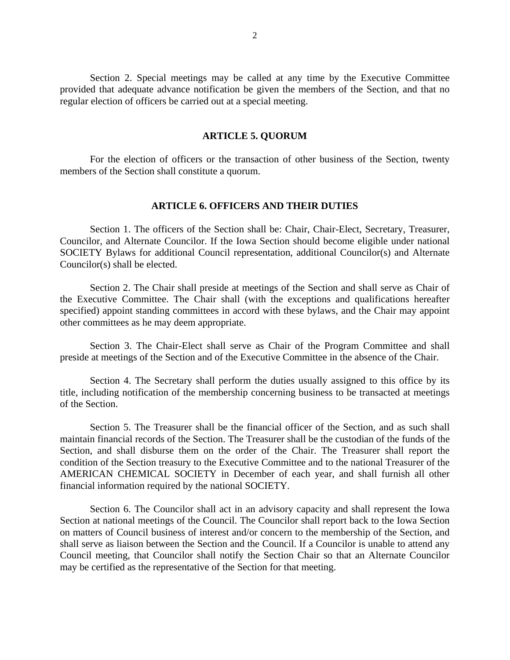Section 2. Special meetings may be called at any time by the Executive Committee provided that adequate advance notification be given the members of the Section, and that no regular election of officers be carried out at a special meeting.

### **ARTICLE 5. QUORUM**

For the election of officers or the transaction of other business of the Section, twenty members of the Section shall constitute a quorum.

## **ARTICLE 6. OFFICERS AND THEIR DUTIES**

Section 1. The officers of the Section shall be: Chair, Chair-Elect, Secretary, Treasurer, Councilor, and Alternate Councilor. If the Iowa Section should become eligible under national SOCIETY Bylaws for additional Council representation, additional Councilor(s) and Alternate Councilor(s) shall be elected.

Section 2. The Chair shall preside at meetings of the Section and shall serve as Chair of the Executive Committee. The Chair shall (with the exceptions and qualifications hereafter specified) appoint standing committees in accord with these bylaws, and the Chair may appoint other committees as he may deem appropriate.

Section 3. The Chair-Elect shall serve as Chair of the Program Committee and shall preside at meetings of the Section and of the Executive Committee in the absence of the Chair.

Section 4. The Secretary shall perform the duties usually assigned to this office by its title, including notification of the membership concerning business to be transacted at meetings of the Section.

Section 5. The Treasurer shall be the financial officer of the Section, and as such shall maintain financial records of the Section. The Treasurer shall be the custodian of the funds of the Section, and shall disburse them on the order of the Chair. The Treasurer shall report the condition of the Section treasury to the Executive Committee and to the national Treasurer of the AMERICAN CHEMICAL SOCIETY in December of each year, and shall furnish all other financial information required by the national SOCIETY.

Section 6. The Councilor shall act in an advisory capacity and shall represent the Iowa Section at national meetings of the Council. The Councilor shall report back to the Iowa Section on matters of Council business of interest and/or concern to the membership of the Section, and shall serve as liaison between the Section and the Council. If a Councilor is unable to attend any Council meeting, that Councilor shall notify the Section Chair so that an Alternate Councilor may be certified as the representative of the Section for that meeting.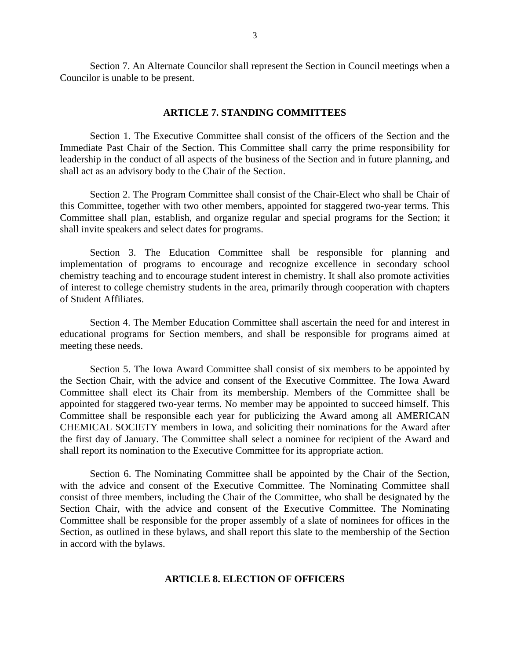Section 7. An Alternate Councilor shall represent the Section in Council meetings when a Councilor is unable to be present.

#### **ARTICLE 7. STANDING COMMITTEES**

Section 1. The Executive Committee shall consist of the officers of the Section and the Immediate Past Chair of the Section. This Committee shall carry the prime responsibility for leadership in the conduct of all aspects of the business of the Section and in future planning, and shall act as an advisory body to the Chair of the Section.

Section 2. The Program Committee shall consist of the Chair-Elect who shall be Chair of this Committee, together with two other members, appointed for staggered two-year terms. This Committee shall plan, establish, and organize regular and special programs for the Section; it shall invite speakers and select dates for programs.

Section 3. The Education Committee shall be responsible for planning and implementation of programs to encourage and recognize excellence in secondary school chemistry teaching and to encourage student interest in chemistry. It shall also promote activities of interest to college chemistry students in the area, primarily through cooperation with chapters of Student Affiliates.

Section 4. The Member Education Committee shall ascertain the need for and interest in educational programs for Section members, and shall be responsible for programs aimed at meeting these needs.

Section 5. The Iowa Award Committee shall consist of six members to be appointed by the Section Chair, with the advice and consent of the Executive Committee. The Iowa Award Committee shall elect its Chair from its membership. Members of the Committee shall be appointed for staggered two-year terms. No member may be appointed to succeed himself. This Committee shall be responsible each year for publicizing the Award among all AMERICAN CHEMICAL SOCIETY members in Iowa, and soliciting their nominations for the Award after the first day of January. The Committee shall select a nominee for recipient of the Award and shall report its nomination to the Executive Committee for its appropriate action.

Section 6. The Nominating Committee shall be appointed by the Chair of the Section, with the advice and consent of the Executive Committee. The Nominating Committee shall consist of three members, including the Chair of the Committee, who shall be designated by the Section Chair, with the advice and consent of the Executive Committee. The Nominating Committee shall be responsible for the proper assembly of a slate of nominees for offices in the Section, as outlined in these bylaws, and shall report this slate to the membership of the Section in accord with the bylaws.

### **ARTICLE 8. ELECTION OF OFFICERS**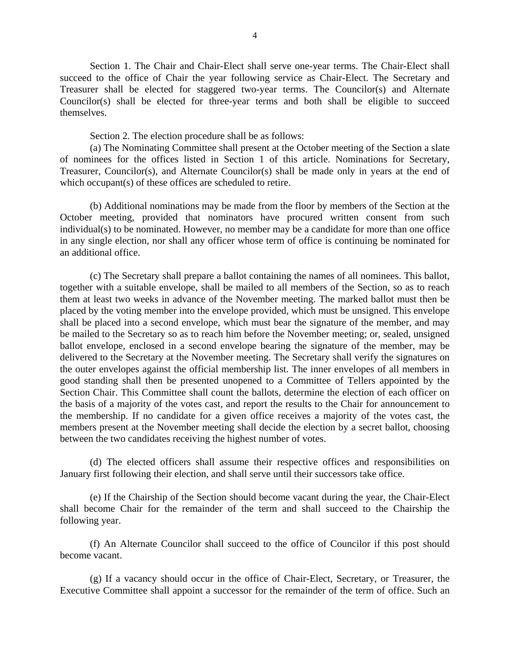Section 1. The Chair and Chair-Elect shall serve one-year terms. The Chair-Elect shall succeed to the office of Chair the year following service as Chair-Elect. The Secretary and Treasurer shall be elected for staggered two-year terms. The Councilor(s) and Alternate Councilor(s) shall be elected for three-year terms and both shall be eligible to succeed themselves.

Section 2. The election procedure shall be as follows:

(a) The Nominating Committee shall present at the October meeting of the Section a slate of nominees for the offices listed in Section 1 of this article. Nominations for Secretary, Treasurer, Councilor(s), and Alternate Councilor(s) shall be made only in years at the end of which occupant(s) of these offices are scheduled to retire.

(b) Additional nominations may be made from the floor by members of the Section at the October meeting, provided that nominators have procured written consent from such individual(s) to be nominated. However, no member may be a candidate for more than one office in any single election, nor shall any officer whose term of office is continuing be nominated for an additional office.

(c) The Secretary shall prepare a ballot containing the names of all nominees. This ballot, together with a suitable envelope, shall be mailed to all members of the Section, so as to reach them at least two weeks in advance of the November meeting. The marked ballot must then be placed by the voting member into the envelope provided, which must be unsigned. This envelope shall be placed into a second envelope, which must bear the signature of the member, and may be mailed to the Secretary so as to reach him before the November meeting; or, sealed, unsigned ballot envelope, enclosed in a second envelope bearing the signature of the member, may be delivered to the Secretary at the November meeting. The Secretary shall verify the signatures on the outer envelopes against the official membership list. The inner envelopes of all members in good standing shall then be presented unopened to a Committee of Tellers appointed by the Section Chair. This Committee shall count the ballots, determine the election of each officer on the basis of a majority of the votes cast, and report the results to the Chair for announcement to the membership. If no candidate for a given office receives a majority of the votes cast, the members present at the November meeting shall decide the election by a secret ballot, choosing between the two candidates receiving the highest number of votes.

(d) The elected officers shall assume their respective offices and responsibilities on January first following their election, and shall serve until their successors take office.

(e) If the Chairship of the Section should become vacant during the year, the Chair-Elect shall become Chair for the remainder of the term and shall succeed to the Chairship the following year.

(f) An Alternate Councilor shall succeed to the office of Councilor if this post should become vacant.

(g) If a vacancy should occur in the office of Chair-Elect, Secretary, or Treasurer, the Executive Committee shall appoint a successor for the remainder of the term of office. Such an